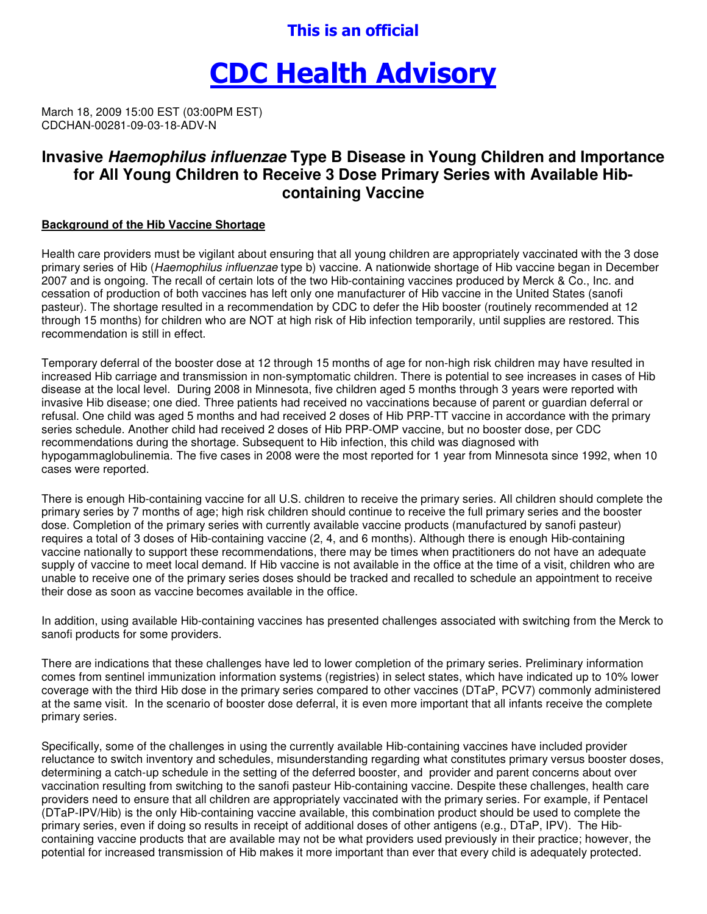## This is an official

# CDC Health Advisory

March 18, 2009 15:00 EST (03:00PM EST) CDCHAN-00281-09-03-18-ADV-N

### **Invasive Haemophilus influenzae Type B Disease in Young Children and Importance for All Young Children to Receive 3 Dose Primary Series with Available Hibcontaining Vaccine**

#### **Background of the Hib Vaccine Shortage**

Health care providers must be vigilant about ensuring that all young children are appropriately vaccinated with the 3 dose primary series of Hib (Haemophilus influenzae type b) vaccine. A nationwide shortage of Hib vaccine began in December 2007 and is ongoing. The recall of certain lots of the two Hib-containing vaccines produced by Merck & Co., Inc. and cessation of production of both vaccines has left only one manufacturer of Hib vaccine in the United States (sanofi pasteur). The shortage resulted in a recommendation by CDC to defer the Hib booster (routinely recommended at 12 through 15 months) for children who are NOT at high risk of Hib infection temporarily, until supplies are restored. This recommendation is still in effect.

Temporary deferral of the booster dose at 12 through 15 months of age for non-high risk children may have resulted in increased Hib carriage and transmission in non-symptomatic children. There is potential to see increases in cases of Hib disease at the local level. During 2008 in Minnesota, five children aged 5 months through 3 years were reported with invasive Hib disease; one died. Three patients had received no vaccinations because of parent or guardian deferral or refusal. One child was aged 5 months and had received 2 doses of Hib PRP-TT vaccine in accordance with the primary series schedule. Another child had received 2 doses of Hib PRP-OMP vaccine, but no booster dose, per CDC recommendations during the shortage. Subsequent to Hib infection, this child was diagnosed with hypogammaglobulinemia. The five cases in 2008 were the most reported for 1 year from Minnesota since 1992, when 10 cases were reported.

There is enough Hib-containing vaccine for all U.S. children to receive the primary series. All children should complete the primary series by 7 months of age; high risk children should continue to receive the full primary series and the booster dose. Completion of the primary series with currently available vaccine products (manufactured by sanofi pasteur) requires a total of 3 doses of Hib-containing vaccine (2, 4, and 6 months). Although there is enough Hib-containing vaccine nationally to support these recommendations, there may be times when practitioners do not have an adequate supply of vaccine to meet local demand. If Hib vaccine is not available in the office at the time of a visit, children who are unable to receive one of the primary series doses should be tracked and recalled to schedule an appointment to receive their dose as soon as vaccine becomes available in the office.

In addition, using available Hib-containing vaccines has presented challenges associated with switching from the Merck to sanofi products for some providers.

There are indications that these challenges have led to lower completion of the primary series. Preliminary information comes from sentinel immunization information systems (registries) in select states, which have indicated up to 10% lower coverage with the third Hib dose in the primary series compared to other vaccines (DTaP, PCV7) commonly administered at the same visit. In the scenario of booster dose deferral, it is even more important that all infants receive the complete primary series.

Specifically, some of the challenges in using the currently available Hib-containing vaccines have included provider reluctance to switch inventory and schedules, misunderstanding regarding what constitutes primary versus booster doses, determining a catch-up schedule in the setting of the deferred booster, and provider and parent concerns about over vaccination resulting from switching to the sanofi pasteur Hib-containing vaccine. Despite these challenges, health care providers need to ensure that all children are appropriately vaccinated with the primary series. For example, if Pentacel (DTaP-IPV/Hib) is the only Hib-containing vaccine available, this combination product should be used to complete the primary series, even if doing so results in receipt of additional doses of other antigens (e.g., DTaP, IPV). The Hibcontaining vaccine products that are available may not be what providers used previously in their practice; however, the potential for increased transmission of Hib makes it more important than ever that every child is adequately protected.